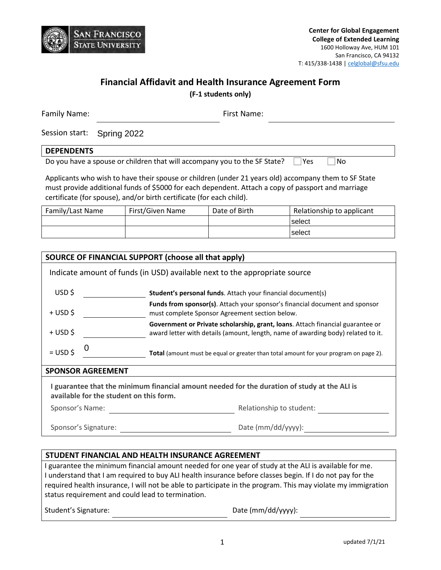

# **Financial Affidavit and Health Insurance Agreement Form**

**(F-1 students only)**

| Family Name: |                            | First Name: |  |
|--------------|----------------------------|-------------|--|
|              | Session start: Spring 2022 |             |  |

### **DEPENDENTS**

Do you have a spouse or children that will accompany you to the SF State?  $\Box$  Yes  $\Box$  No

Applicants who wish to have their spouse or children (under 21 years old) accompany them to SF State must provide additional funds of \$5000 for each dependent. Attach a copy of passport and marriage certificate (for spouse), and/or birth certificate (for each child).

| Family/Last Name | First/Given Name | Date of Birth | Relationship to applicant |
|------------------|------------------|---------------|---------------------------|
|                  |                  |               | select                    |
|                  |                  |               | select                    |

|                                                                                                                                         | SOURCE OF FINANCIAL SUPPORT (choose all that apply) |                                                                                                                                                                    |  |  |
|-----------------------------------------------------------------------------------------------------------------------------------------|-----------------------------------------------------|--------------------------------------------------------------------------------------------------------------------------------------------------------------------|--|--|
| Indicate amount of funds (in USD) available next to the appropriate source                                                              |                                                     |                                                                                                                                                                    |  |  |
| USD\$                                                                                                                                   |                                                     | <b>Student's personal funds.</b> Attach your financial document(s)                                                                                                 |  |  |
| + USD \$                                                                                                                                |                                                     | <b>Funds from sponsor(s)</b> . Attach your sponsor's financial document and sponsor<br>must complete Sponsor Agreement section below.                              |  |  |
| + USD\$                                                                                                                                 |                                                     | Government or Private scholarship, grant, loans. Attach financial guarantee or<br>award letter with details (amount, length, name of awarding body) related to it. |  |  |
| $=$ USD \$                                                                                                                              |                                                     | Total (amount must be equal or greater than total amount for your program on page 2).                                                                              |  |  |
| <b>SPONSOR AGREEMENT</b>                                                                                                                |                                                     |                                                                                                                                                                    |  |  |
| I guarantee that the minimum financial amount needed for the duration of study at the ALI is<br>available for the student on this form. |                                                     |                                                                                                                                                                    |  |  |
|                                                                                                                                         | Relationship to student:<br>Sponsor's Name:         |                                                                                                                                                                    |  |  |
|                                                                                                                                         | Sponsor's Signature:                                | Date (mm/dd/yyyy):                                                                                                                                                 |  |  |

## **STUDENT FINANCIAL AND HEALTH INSURANCE AGREEMENT**

I guarantee the minimum financial amount needed for one year of study at the ALI is available for me. I understand that I am required to buy ALI health insurance before classes begin. If I do not pay for the required health insurance, I will not be able to participate in the program. This may violate my immigration status requirement and could lead to termination.

Student's Signature: Date (mm/dd/yyyy):